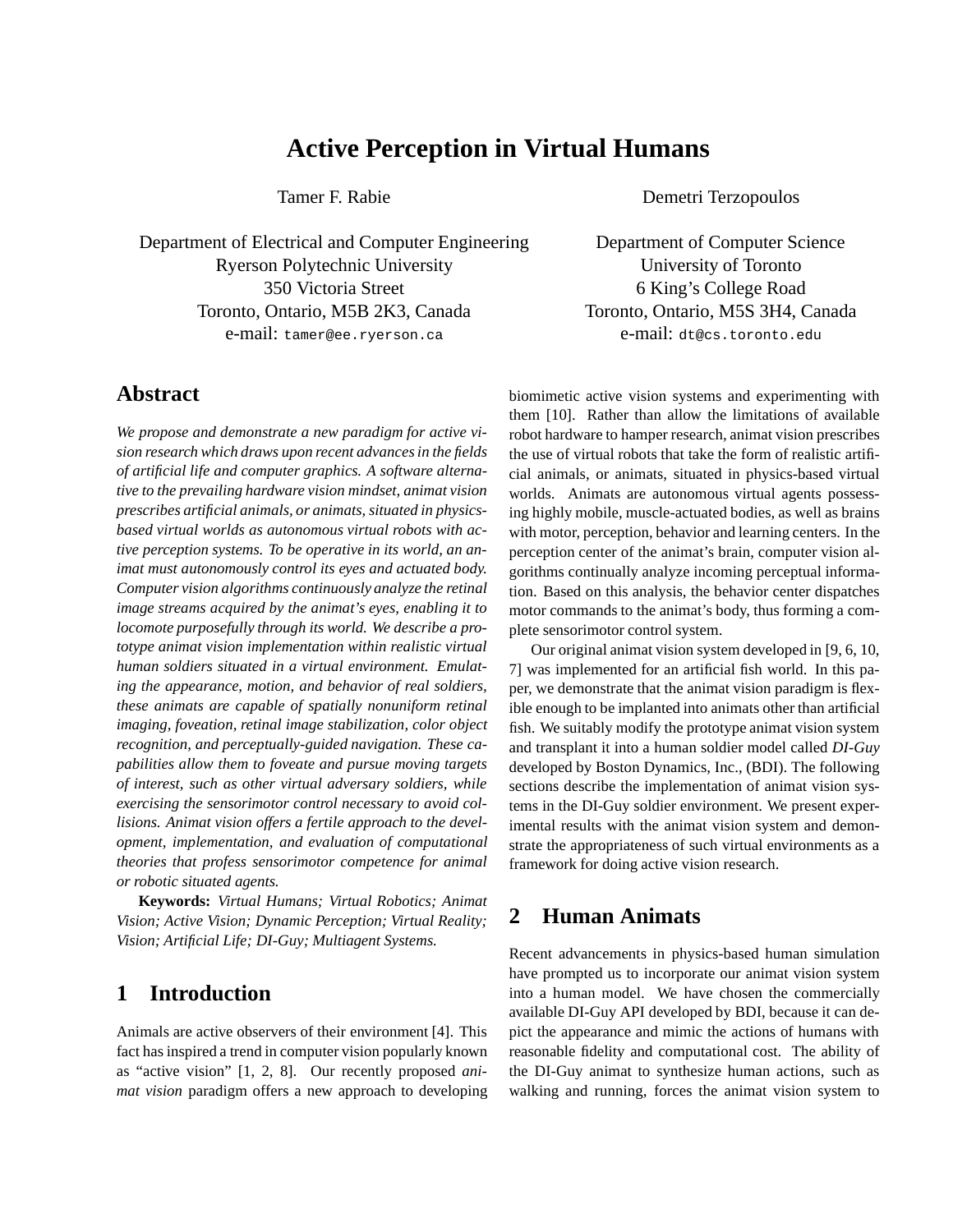# **Active Perception in Virtual Humans**

Department of Electrical and Computer Engineering Department of Computer Science Ryerson Polytechnic University University University of Toronto 350 Victoria Street 6 King's College Road Toronto, Ontario, M5B 2K3, Canada Toronto, Ontario, M5S 3H4, Canada e-mail: tamer@ee.ryerson.ca e-mail: dt@cs.toronto.edu

# **Abstract**

*We propose and demonstrate a new paradigm for active vision research which draws upon recent advances in the fields of artificial life and computer graphics. A software alternative to the prevailing hardware vision mindset, animat vision prescribes artificial animals, or animats, situated in physicsbased virtual worlds as autonomous virtual robots with active perception systems. To be operative in its world, an animat must autonomously control its eyes and actuated body. Computer vision algorithms continuously analyze the retinal image streams acquired by the animat's eyes, enabling it to locomote purposefully through its world. We describe a prototype animat vision implementation within realistic virtual human soldiers situated in a virtual environment. Emulating the appearance, motion, and behavior of real soldiers, these animats are capable of spatially nonuniform retinal imaging, foveation, retinal image stabilization, color object recognition, and perceptually-guided navigation. These capabilities allow them to foveate and pursue moving targets of interest, such as other virtual adversary soldiers, while exercising the sensorimotor control necessary to avoid collisions. Animat vision offers a fertile approach to the development, implementation, and evaluation of computational theories that profess sensorimotor competence for animal or robotic situated agents.*

**Keywords:** *Virtual Humans; Virtual Robotics; Animat Vision; Active Vision; Dynamic Perception; Virtual Reality; Vision; Artificial Life; DI-Guy; Multiagent Systems.*

# **1 Introduction**

Animals are active observers of their environment [4]. This fact has inspired a trend in computer vision popularly known as "active vision" [1, 2, 8]. Our recently proposed *animat vision* paradigm offers a new approach to developing

Tamer F. Rabie Demetri Terzopoulos

biomimetic active vision systems and experimenting with them [10]. Rather than allow the limitations of available robot hardware to hamper research, animat vision prescribes the use of virtual robots that take the form of realistic artificial animals, or animats, situated in physics-based virtual worlds. Animats are autonomous virtual agents possessing highly mobile, muscle-actuated bodies, as well as brains with motor, perception, behavior and learning centers. In the perception center of the animat's brain, computer vision algorithms continually analyze incoming perceptual information. Based on this analysis, the behavior center dispatches motor commands to the animat's body, thus forming a complete sensorimotor control system.

Our original animat vision system developed in [9, 6, 10, 7] was implemented for an artificial fish world. In this paper, we demonstrate that the animat vision paradigm is flexible enough to be implanted into animats other than artificial fish. We suitably modify the prototype animat vision system and transplant it into a human soldier model called *DI-Guy* developed by Boston Dynamics, Inc., (BDI). The following sections describe the implementation of animat vision systems in the DI-Guy soldier environment. We present experimental results with the animat vision system and demonstrate the appropriateness of such virtual environments as a framework for doing active vision research.

# **2 Human Animats**

Recent advancements in physics-based human simulation have prompted us to incorporate our animat vision system into a human model. We have chosen the commercially available DI-Guy API developed by BDI, because it can depict the appearance and mimic the actions of humans with reasonable fidelity and computational cost. The ability of the DI-Guy animat to synthesize human actions, such as walking and running, forces the animat vision system to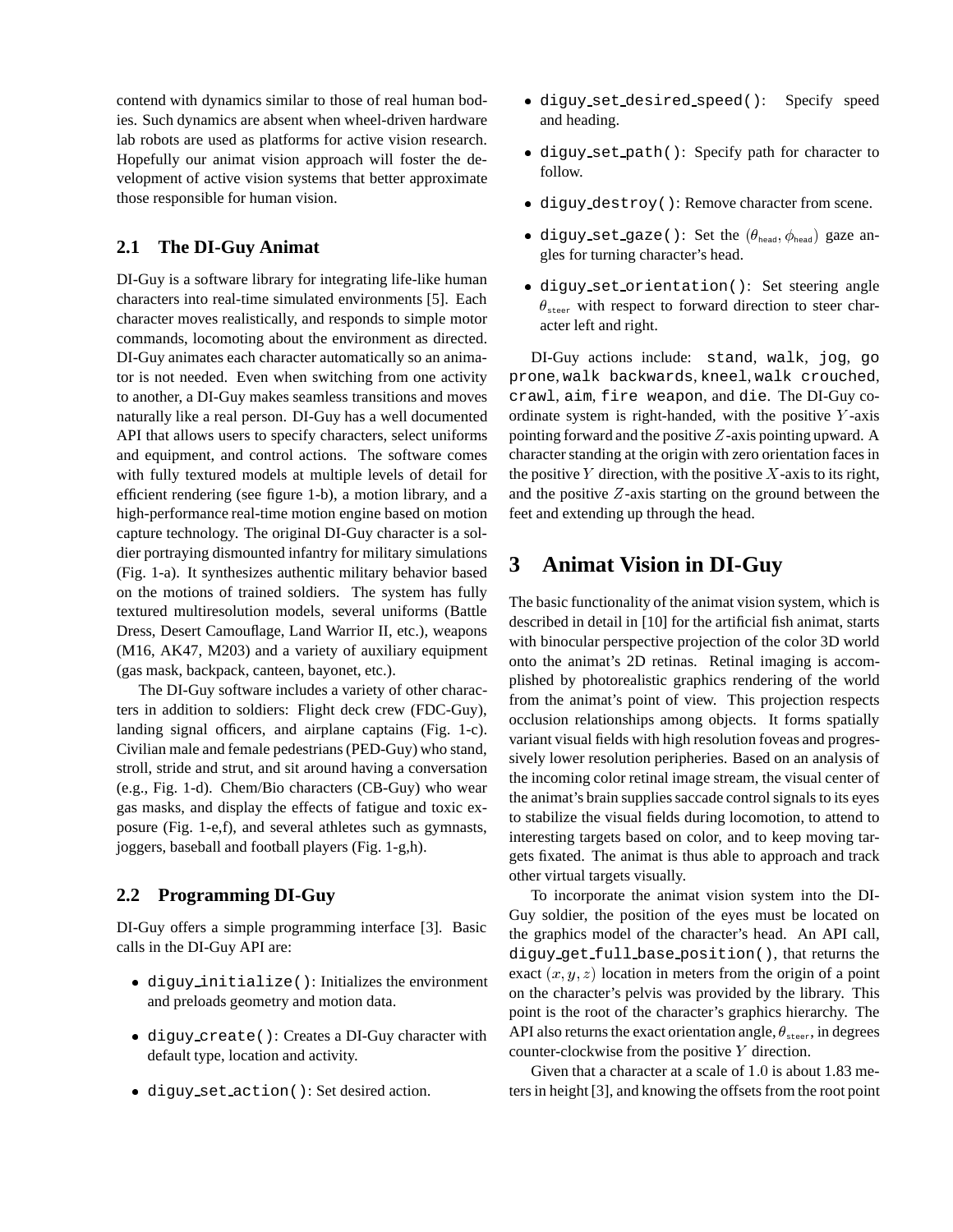contend with dynamics similar to those of real human bodies. Such dynamics are absent when wheel-driven hardware lab robots are used as platforms for active vision research. Hopefully our animat vision approach will foster the development of active vision systems that better approximate those responsible for human vision.

### **2.1 The DI-Guy Animat**

DI-Guy is a software library for integrating life-like human characters into real-time simulated environments [5]. Each character moves realistically, and responds to simple motor commands, locomoting about the environment as directed. DI-Guy animates each character automatically so an animator is not needed. Even when switching from one activity to another, a DI-Guy makes seamless transitions and moves naturally like a real person. DI-Guy has a well documented API that allows users to specify characters, select uniforms and equipment, and control actions. The software comes with fully textured models at multiple levels of detail for efficient rendering (see figure 1-b), a motion library, and a high-performance real-time motion engine based on motion capture technology. The original DI-Guy character is a soldier portraying dismounted infantry for military simulations (Fig. 1-a). It synthesizes authentic military behavior based on the motions of trained soldiers. The system has fully textured multiresolution models, several uniforms (Battle Dress, Desert Camouflage, Land Warrior II, etc.), weapons (M16, AK47, M203) and a variety of auxiliary equipment (gas mask, backpack, canteen, bayonet, etc.).

The DI-Guy software includes a variety of other characters in addition to soldiers: Flight deck crew (FDC-Guy), landing signal officers, and airplane captains (Fig. 1-c). Civilian male and female pedestrians (PED-Guy) who stand, stroll, stride and strut, and sit around having a conversation (e.g., Fig. 1-d). Chem/Bio characters (CB-Guy) who wear gas masks, and display the effects of fatigue and toxic exposure (Fig. 1-e,f), and several athletes such as gymnasts, joggers, baseball and football players (Fig. 1-g,h).

#### **2.2 Programming DI-Guy**

DI-Guy offers a simple programming interface [3]. Basic calls in the DI-Guy API are:

- diguy initialize(): Initializes the environment and preloads geometry and motion data.
- diguy create(): Creates a DI-Guy character with default type, location and activity.
- diguy set action(): Set desired action.
- diguy set desired speed(): Specify speed and heading.
- diguy set path(): Specify path for character to follow.
- diguy destroy(): Remove character from scene.
- $\bullet$  diguy\_set\_gaze(): Set the  $(\theta_\text{\tiny head}, \phi_\text{\tiny head})$  gaze angles for turning character's head.
- diguy set orientation(): Set steering angle  $\theta_{\text{steer}}$  with respect to forward direction to steer character left and right.

DI-Guy actions include: stand, walk, jog, go prone, walk backwards, kneel, walk crouched, crawl, aim, fire weapon, and die. The DI-Guy coordinate system is right-handed, with the positive  $Y$ -axis pointing forward and the positive <sup>Z</sup>-axis pointing upward. A character standing at the origin with zero orientation faces in the positive Y direction, with the positive  $X$ -axis to its right, and the positive <sup>Z</sup>-axis starting on the ground between the feet and extending up through the head.

# **3 Animat Vision in DI-Guy**

The basic functionality of the animat vision system, which is described in detail in [10] for the artificial fish animat, starts with binocular perspective projection of the color 3D world onto the animat's 2D retinas. Retinal imaging is accomplished by photorealistic graphics rendering of the world from the animat's point of view. This projection respects occlusion relationships among objects. It forms spatially variant visual fields with high resolution foveas and progressively lower resolution peripheries. Based on an analysis of the incoming color retinal image stream, the visual center of the animat's brain supplies saccade control signals to its eyes to stabilize the visual fields during locomotion, to attend to interesting targets based on color, and to keep moving targets fixated. The animat is thus able to approach and track other virtual targets visually.

To incorporate the animat vision system into the DI-Guy soldier, the position of the eyes must be located on the graphics model of the character's head. An API call, diguy get full base position(), that returns the exact  $(x, y, z)$  location in meters from the origin of a point on the character's pelvis was provided by the library. This point is the root of the character's graphics hierarchy. The API also returns the exact orientation angle,  $\theta_{\text{steer}}$ , in degrees counter-clockwise from the positive <sup>Y</sup> direction.

Given that a character at a scale of 1.0 is about 1.83 meters in height [3], and knowing the offsets from the root point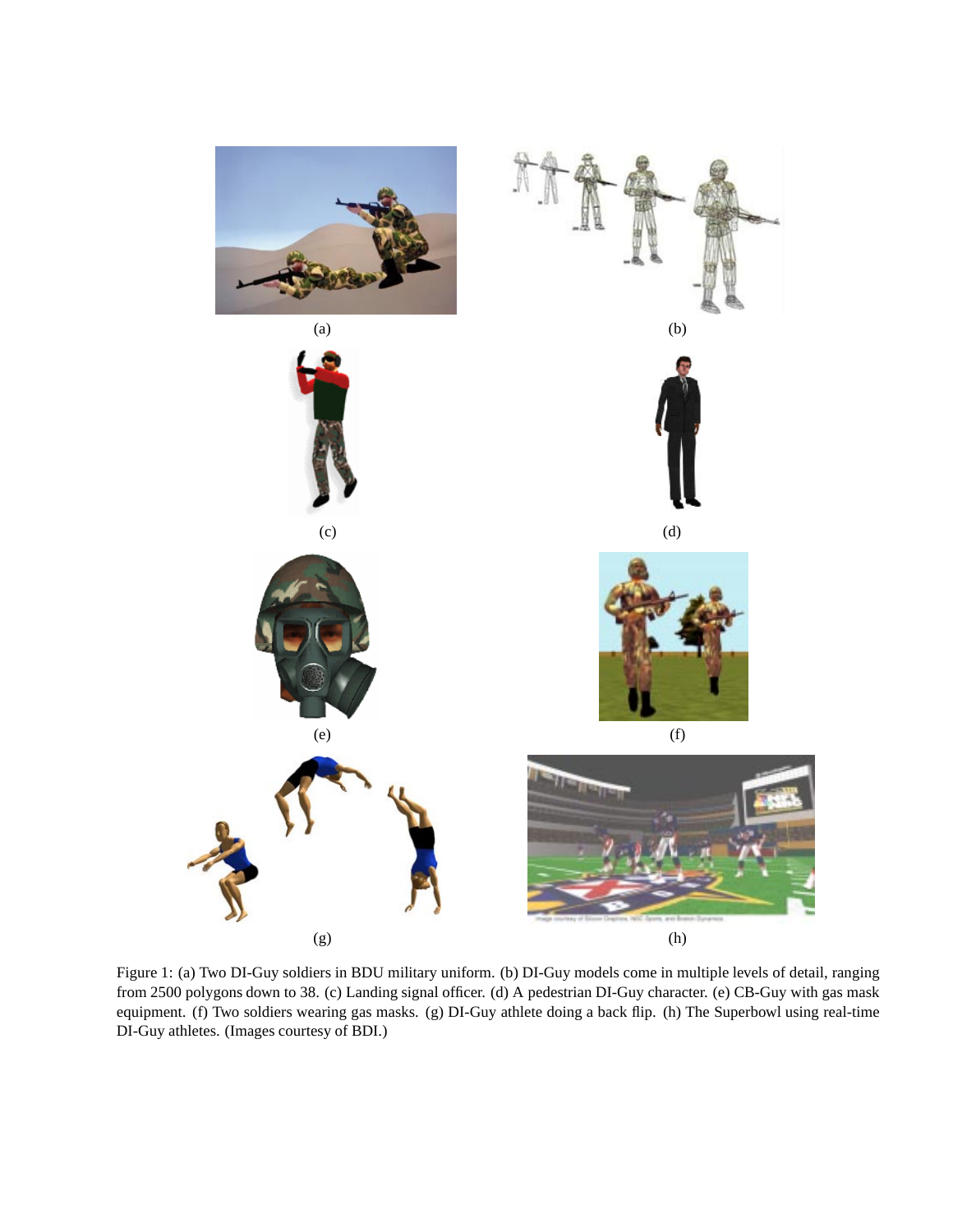

Figure 1: (a) Two DI-Guy soldiers in BDU military uniform. (b) DI-Guy models come in multiple levels of detail, ranging from 2500 polygons down to 38. (c) Landing signal officer. (d) A pedestrian DI-Guy character. (e) CB-Guy with gas mask equipment. (f) Two soldiers wearing gas masks. (g) DI-Guy athlete doing a back flip. (h) The Superbowl using real-time DI-Guy athletes. (Images courtesy of BDI.)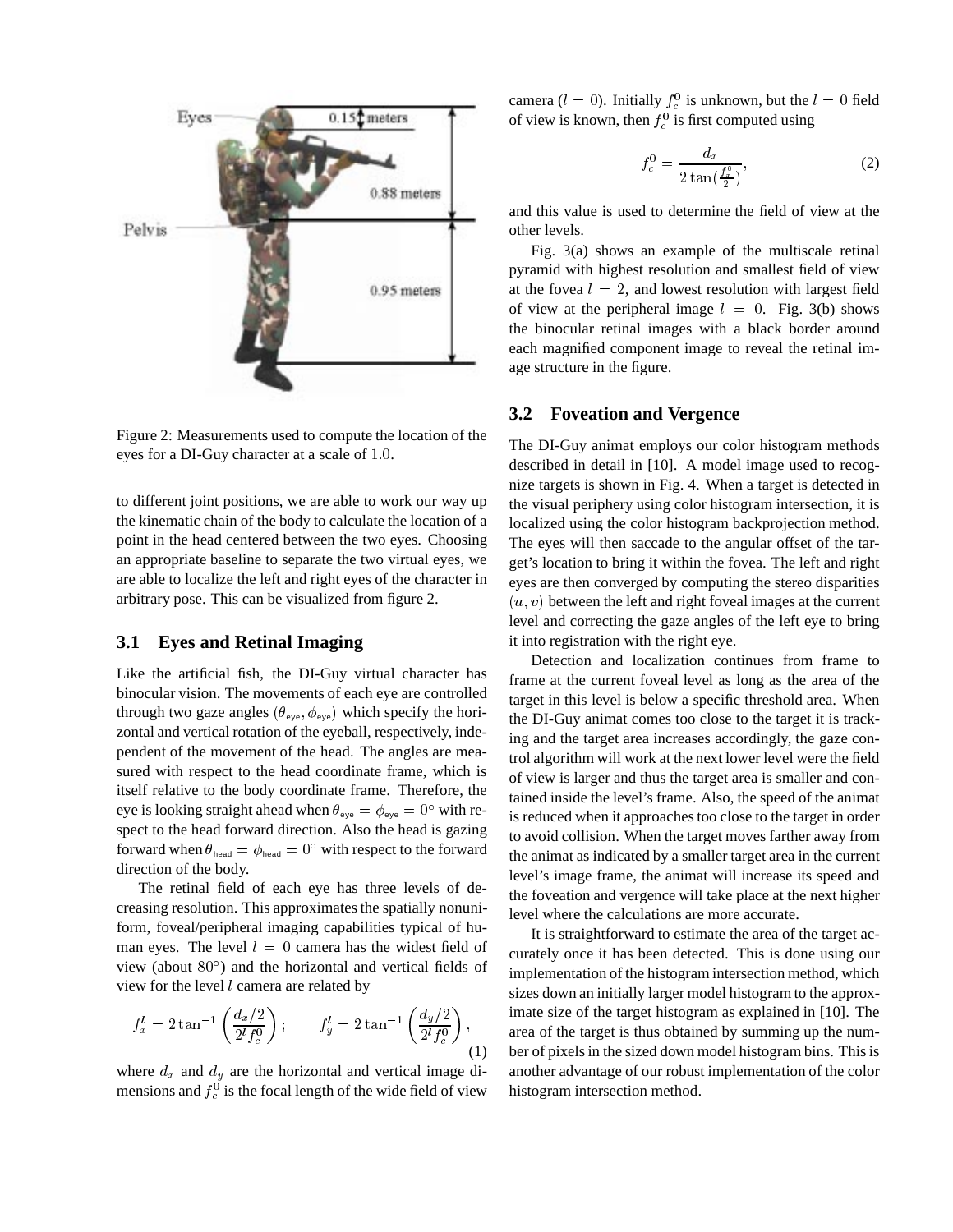

Figure 2: Measurements used to compute the location of the eyes for a DI-Guy character at a scale of 1:0.

to different joint positions, we are able to work our way up the kinematic chain of the body to calculate the location of a point in the head centered between the two eyes. Choosing an appropriate baseline to separate the two virtual eyes, we are able to localize the left and right eyes of the character in arbitrary pose. This can be visualized from figure 2.

#### **3.1 Eyes and Retinal Imaging**

Like the artificial fish, the DI-Guy virtual character has binocular vision. The movements of each eye are controlled through two gaze angles  $(\theta_{\text{eye}}, \phi_{\text{eye}})$  which specify the horizontal and vertical rotation of the eyeball, respectively, independent of the movement of the head. The angles are measured with respect to the head coordinate frame, which is itself relative to the body coordinate frame. Therefore, the eye is looking straight ahead when  $\theta_{\text{eye}} = \phi_{\text{eye}} = 0^{\circ}$  with respect to the head forward direction. Also the head is gazing forward when  $\theta_{\text{head}} = \phi_{\text{head}} = 0^{\circ}$  with respect to the forward direction of the body.

The retinal field of each eye has three levels of decreasing resolution. This approximates the spatially nonuniform, foveal/peripheral imaging capabilities typical of human eyes. The level  $l = 0$  camera has the widest field of view (about 80 ) and the horizontal and vertical fields of view for the level <sup>l</sup> camera are related by

$$
f_x^l = 2 \tan^{-1} \left( \frac{d_x/2}{2^l f_c^0} \right); \qquad f_y^l = 2 \tan^{-1} \left( \frac{d_y/2}{2^l f_c^0} \right), \tag{1}
$$

where  $d_x$  and  $d_y$  are the horizontal and vertical image dimensions and  $f_c^0$  is the focal length of the wide field of view camera ( $l = 0$ ). Initially  $f_c^0$  is unknown, but the  $l = 0$  field of view is known, then  $f_c^0$  is first computed using

$$
f_c^0 = \frac{d_x}{2 \tan(\frac{f_x^0}{2})},\tag{2}
$$

and this value is used to determine the field of view at the other levels.

Fig. 3(a) shows an example of the multiscale retinal pyramid with highest resolution and smallest field of view at the fovea  $l = 2$ , and lowest resolution with largest field of view at the peripheral image  $l = 0$ . Fig. 3(b) shows the binocular retinal images with a black border around each magnified component image to reveal the retinal image structure in the figure.

#### **3.2 Foveation and Vergence**

The DI-Guy animat employs our color histogram methods described in detail in [10]. A model image used to recognize targets is shown in Fig. 4. When a target is detected in the visual periphery using color histogram intersection, it is localized using the color histogram backprojection method. The eyes will then saccade to the angular offset of the target's location to bring it within the fovea. The left and right eyes are then converged by computing the stereo disparities  $(u, v)$  between the left and right foveal images at the current level and correcting the gaze angles of the left eye to bring it into registration with the right eye.

Detection and localization continues from frame to frame at the current foveal level as long as the area of the target in this level is below a specific threshold area. When the DI-Guy animat comes too close to the target it is tracking and the target area increases accordingly, the gaze control algorithm will work at the next lower level were the field of view is larger and thus the target area is smaller and contained inside the level's frame. Also, the speed of the animat is reduced when it approaches too close to the target in order to avoid collision. When the target moves farther away from the animat as indicated by a smaller target area in the current level's image frame, the animat will increase its speed and the foveation and vergence will take place at the next higher level where the calculations are more accurate.

 $\left(\frac{c}{c}\right)$ , imate size of the target histogram as explained in [10]. The area of the target is thus obtained by summing up the num-It is straightforward to estimate the area of the target accurately once it has been detected. This is done using our implementation of the histogram intersection method, which sizes down an initially larger model histogram to the approximate size of the target histogram as explained in [10]. The ber of pixels in the sized down model histogram bins. This is another advantage of our robust implementation of the color histogram intersection method.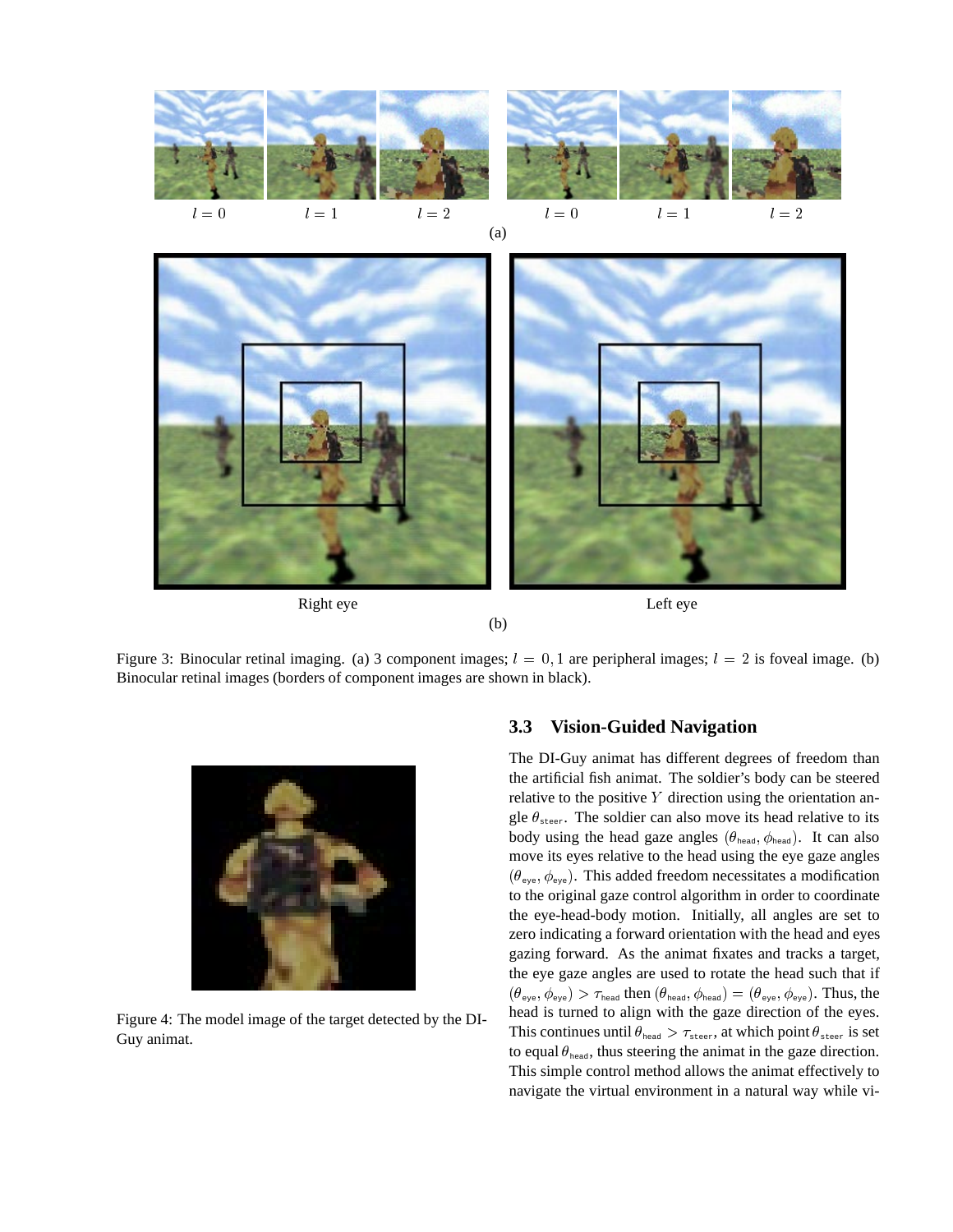

(b)

Figure 3: Binocular retinal imaging. (a) 3 component images;  $l = 0, 1$  are peripheral images;  $l = 2$  is foveal image. (b) Binocular retinal images (borders of component images are shown in black).



Figure 4: The model image of the target detected by the DI-Guy animat.

#### **3.3 Vision-Guided Navigation**

The DI-Guy animat has different degrees of freedom than the artificial fish animat. The soldier's body can be steered relative to the positive  $Y$  direction using the orientation angle  $\theta_{\text{steer}}$ . The soldier can also move its head relative to its body using the head gaze angles  $(\theta_{\text{head}}, \phi_{\text{head}})$ . It can also move its eyes relative to the head using the eye gaze angles  $(\theta_{\text{eye}}, \phi_{\text{eye}})$ . This added freedom necessitates a modification to the original gaze control algorithm in order to coordinate the eye-head-body motion. Initially, all angles are set to zero indicating a forward orientation with the head and eyes gazing forward. As the animat fixates and tracks a target, the eye gaze angles are used to rotate the head such that if  $(\theta_{\text{eye}}, \phi_{\text{eye}}) > \tau_{\text{head}}$  then  $(\theta_{\text{head}}, \phi_{\text{head}})=(\theta_{\text{eye}}, \phi_{\text{eye}})$ . Thus, the head is turned to align with the gaze direction of the eyes. This continues until  $\theta_{\text{head}} > \tau_{\text{steer}}$ , at which point  $\theta_{\text{steer}}$  is set to equal  $\theta_{\text{head}}$ , thus steering the animat in the gaze direction. This simple control method allows the animat effectively to navigate the virtual environment in a natural way while vi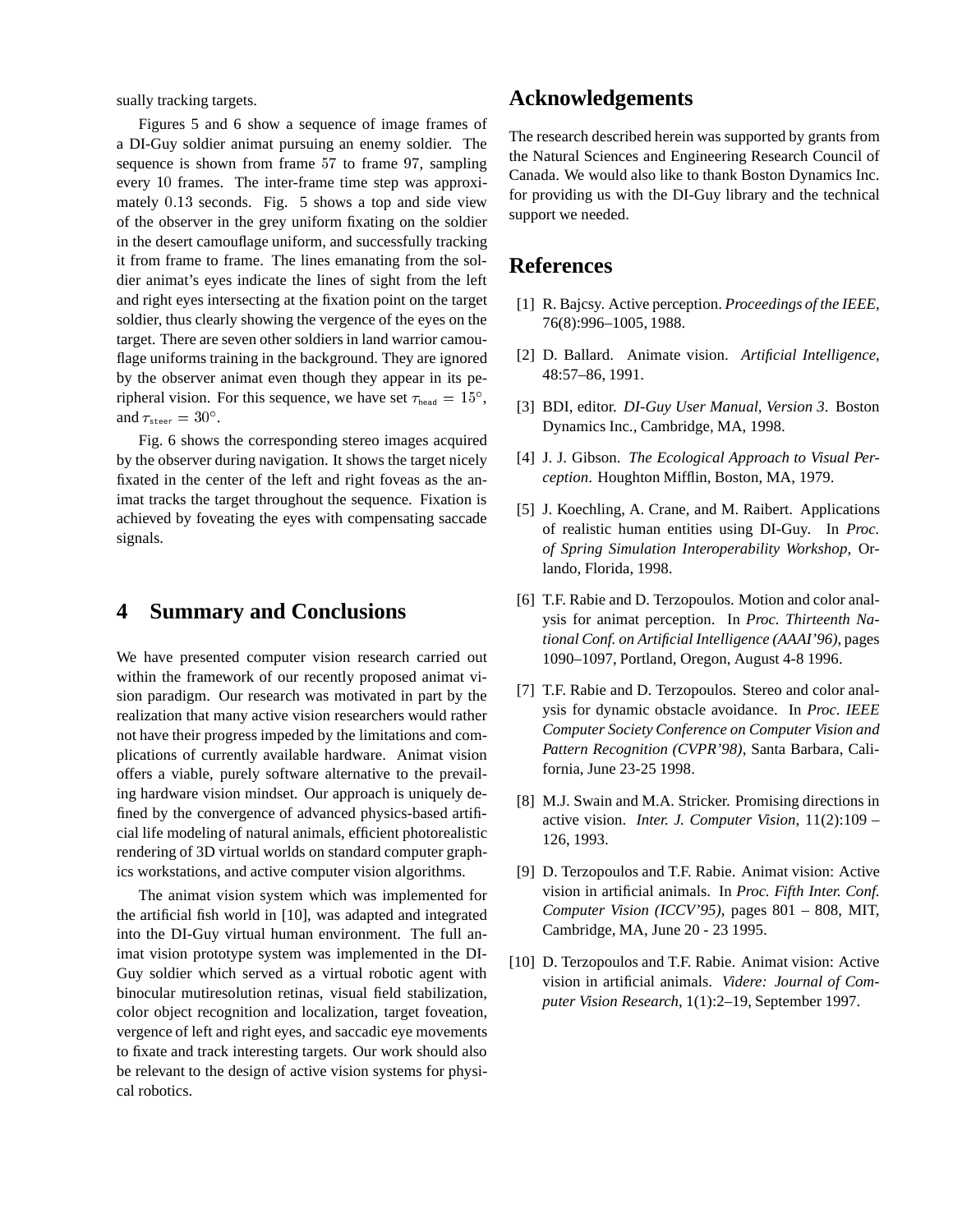sually tracking targets.

Figures 5 and 6 show a sequence of image frames of a DI-Guy soldier animat pursuing an enemy soldier. The sequence is shown from frame <sup>57</sup> to frame <sup>97</sup>, sampling every <sup>10</sup> frames. The inter-frame time step was approximately 0.13 seconds. Fig. 5 shows a top and side view of the observer in the grey uniform fixating on the soldier in the desert camouflage uniform, and successfully tracking it from frame to frame. The lines emanating from the soldier animat's eyes indicate the lines of sight from the left and right eyes intersecting at the fixation point on the target soldier, thus clearly showing the vergence of the eyes on the target. There are seven other soldiers in land warrior camouflage uniforms training in the background. They are ignored by the observer animat even though they appear in its peripheral vision. For this sequence, we have set  $\tau_{\text{head}} = 15^{\circ}$ , and  $\tau_{\textnormal{\tiny{steer}}} = 30^{\circ}$ .

Fig. 6 shows the corresponding stereo images acquired by the observer during navigation. It shows the target nicely fixated in the center of the left and right foveas as the animat tracks the target throughout the sequence. Fixation is achieved by foveating the eyes with compensating saccade signals.

# **4 Summary and Conclusions**

We have presented computer vision research carried out within the framework of our recently proposed animat vision paradigm. Our research was motivated in part by the realization that many active vision researchers would rather not have their progress impeded by the limitations and complications of currently available hardware. Animat vision offers a viable, purely software alternative to the prevailing hardware vision mindset. Our approach is uniquely defined by the convergence of advanced physics-based artificial life modeling of natural animals, efficient photorealistic rendering of 3D virtual worlds on standard computer graphics workstations, and active computer vision algorithms.

The animat vision system which was implemented for the artificial fish world in [10], was adapted and integrated into the DI-Guy virtual human environment. The full animat vision prototype system was implemented in the DI-Guy soldier which served as a virtual robotic agent with binocular mutiresolution retinas, visual field stabilization, color object recognition and localization, target foveation, vergence of left and right eyes, and saccadic eye movements to fixate and track interesting targets. Our work should also be relevant to the design of active vision systems for physical robotics.

# **Acknowledgements**

The research described herein was supported by grants from the Natural Sciences and Engineering Research Council of Canada. We would also like to thank Boston Dynamics Inc. for providing us with the DI-Guy library and the technical support we needed.

### **References**

- [1] R. Bajcsy. Active perception. *Proceedings of the IEEE*, 76(8):996–1005, 1988.
- [2] D. Ballard. Animate vision. *Artificial Intelligence*, 48:57–86, 1991.
- [3] BDI, editor. *DI-Guy User Manual, Version 3*. Boston Dynamics Inc., Cambridge, MA, 1998.
- [4] J. J. Gibson. *The Ecological Approach to Visual Perception*. Houghton Mifflin, Boston, MA, 1979.
- [5] J. Koechling, A. Crane, and M. Raibert. Applications of realistic human entities using DI-Guy. In *Proc. of Spring Simulation Interoperability Workshop*, Orlando, Florida, 1998.
- [6] T.F. Rabie and D. Terzopoulos. Motion and color analysis for animat perception. In *Proc. Thirteenth National Conf. on Artificial Intelligence (AAAI'96)*, pages 1090–1097, Portland, Oregon, August 4-8 1996.
- [7] T.F. Rabie and D. Terzopoulos. Stereo and color analysis for dynamic obstacle avoidance. In *Proc. IEEE Computer Society Conference on Computer Vision and Pattern Recognition (CVPR'98)*, Santa Barbara, California, June 23-25 1998.
- [8] M.J. Swain and M.A. Stricker. Promising directions in active vision. *Inter. J. Computer Vision*, 11(2):109 – 126, 1993.
- [9] D. Terzopoulos and T.F. Rabie. Animat vision: Active vision in artificial animals. In *Proc. Fifth Inter. Conf. Computer Vision (ICCV'95)*, pages 801 – 808, MIT, Cambridge, MA, June 20 - 23 1995.
- [10] D. Terzopoulos and T.F. Rabie. Animat vision: Active vision in artificial animals. *Videre: Journal of Computer Vision Research*, 1(1):2–19, September 1997.